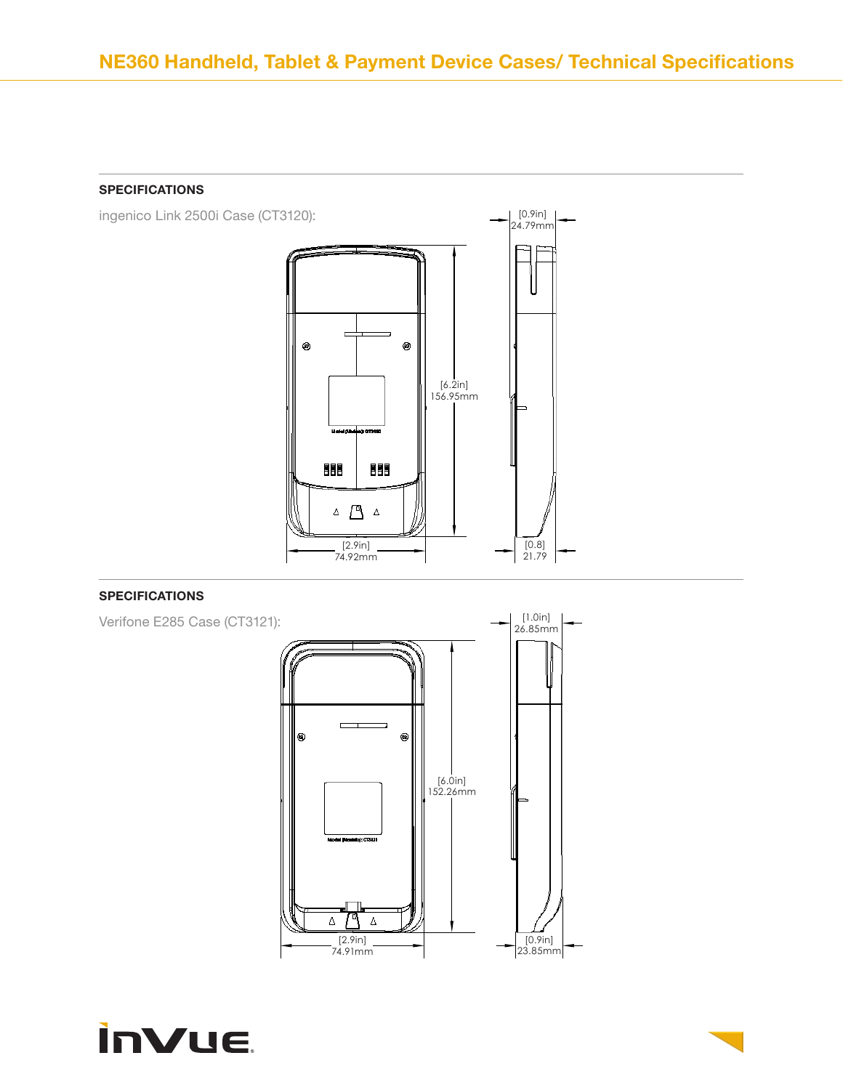



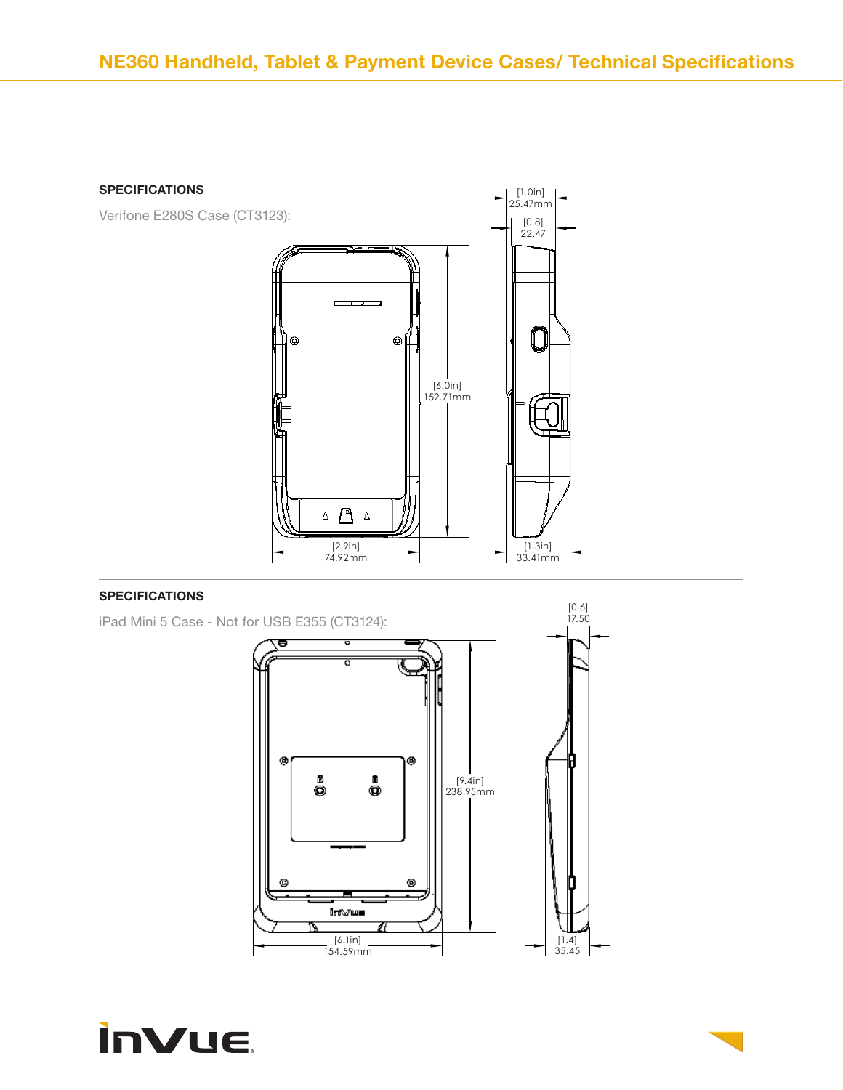

iPad Mini 5 Case - Not for USB E355 (CT3124):



[0.6]

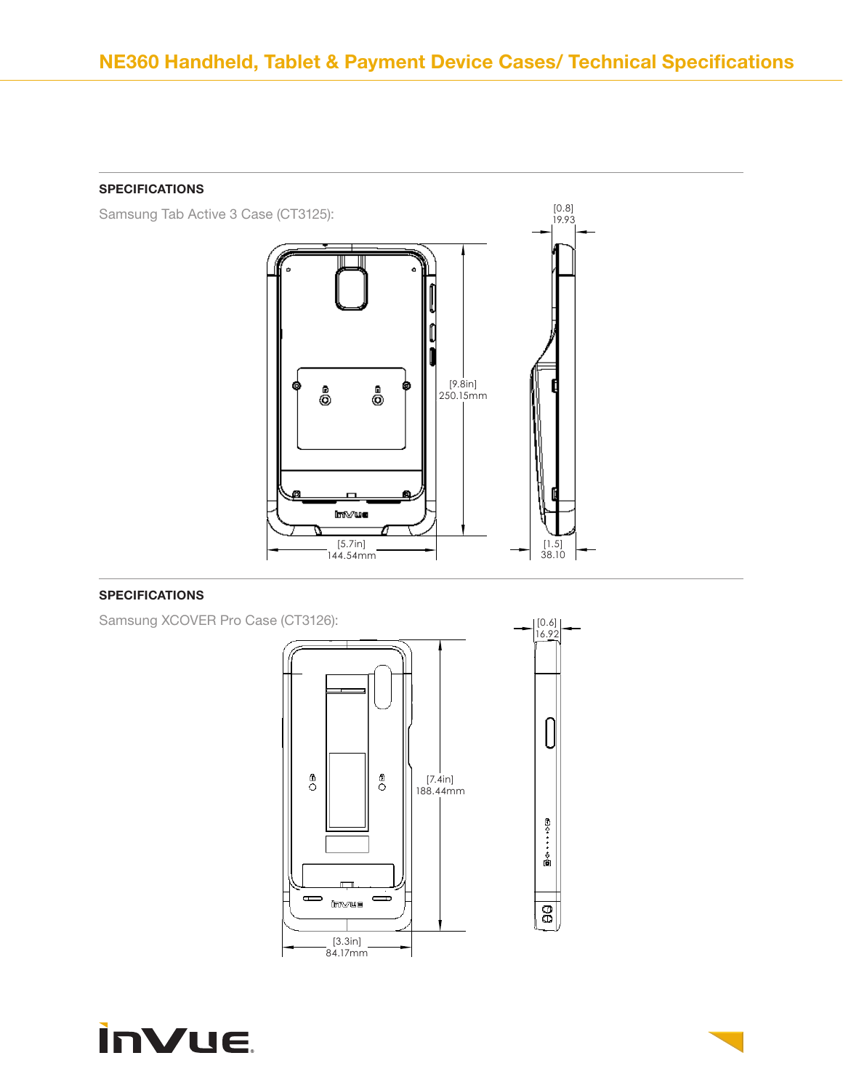Samsung Tab Active 3 Case (CT3125):



# SPECIFICATIONS

Samsung XCOVER Pro Case (CT3126):



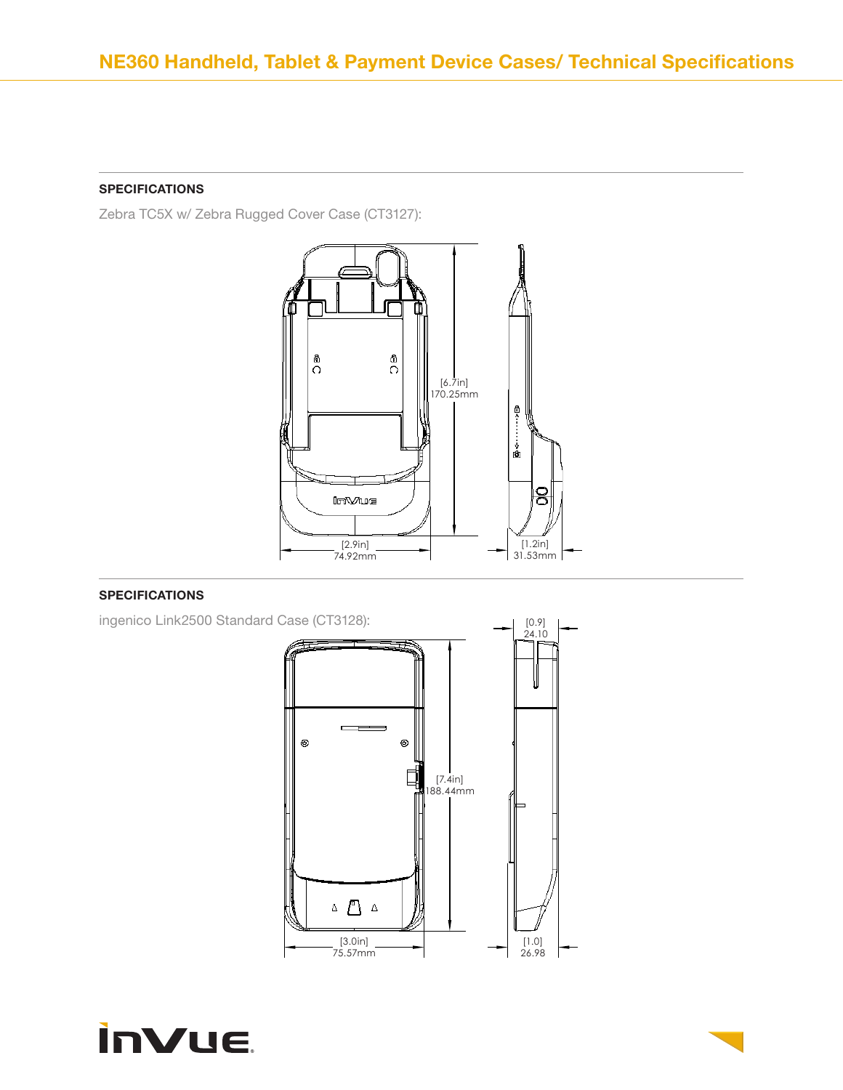Zebra TC5X w/ Zebra Rugged Cover Case (CT3127):



# SPECIFICATIONS

ingenico Link2500 Standard Case (CT3128):



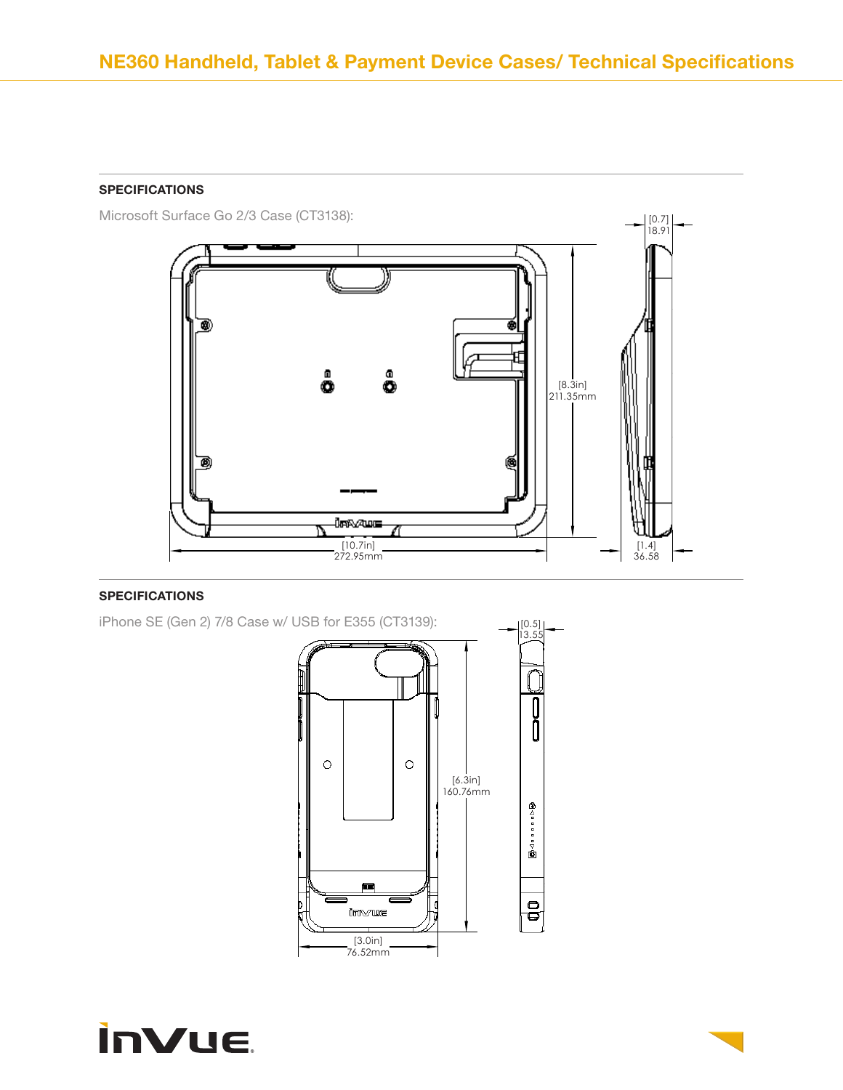Microsoft Surface Go 2/3 Case (CT3138):





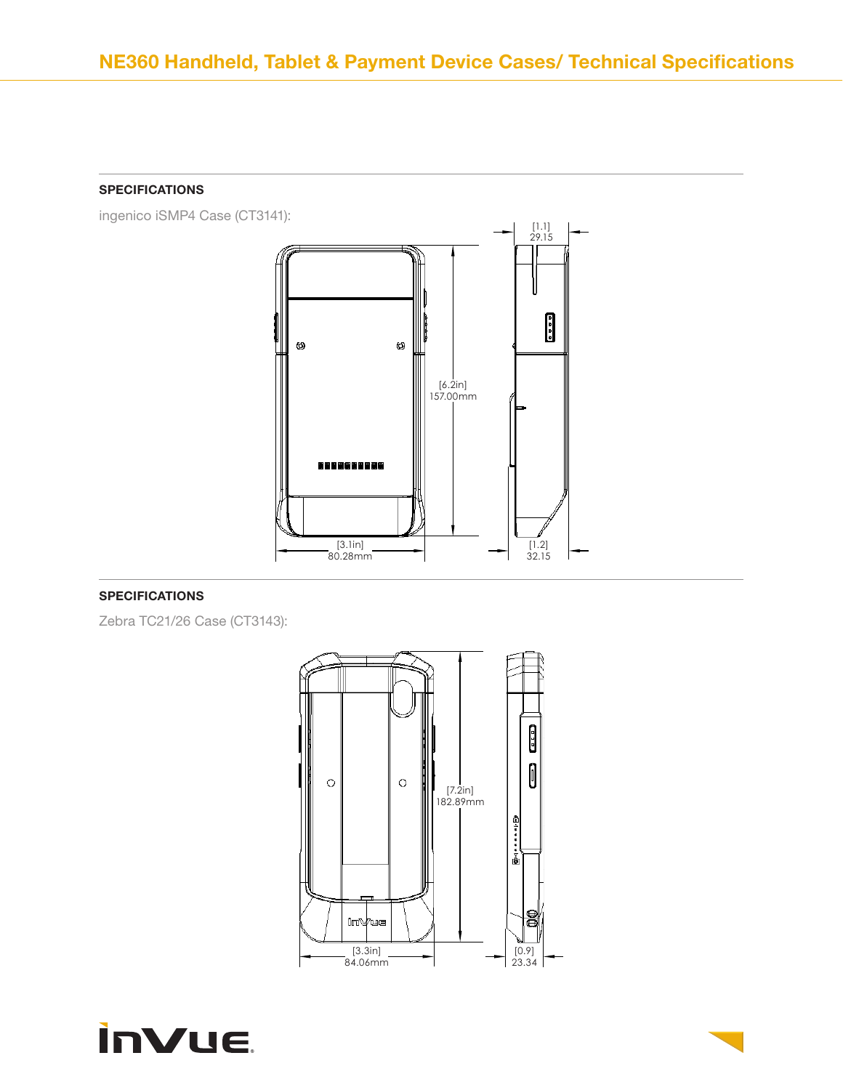ingenico iSMP4 Case (CT3141):



## SPECIFICATIONS

Zebra TC21/26 Case (CT3143):



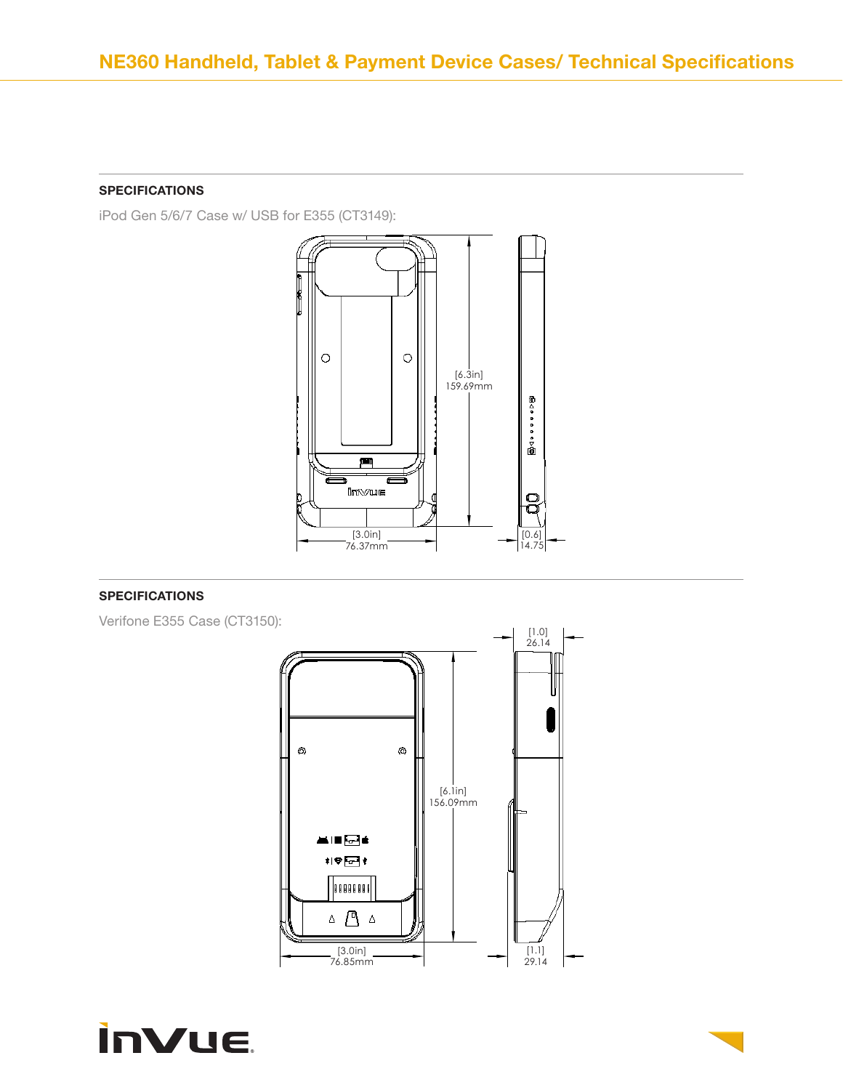iPod Gen 5/6/7 Case w/ USB for E355 (CT3149):



## SPECIFICATIONS

Verifone E355 Case (CT3150):



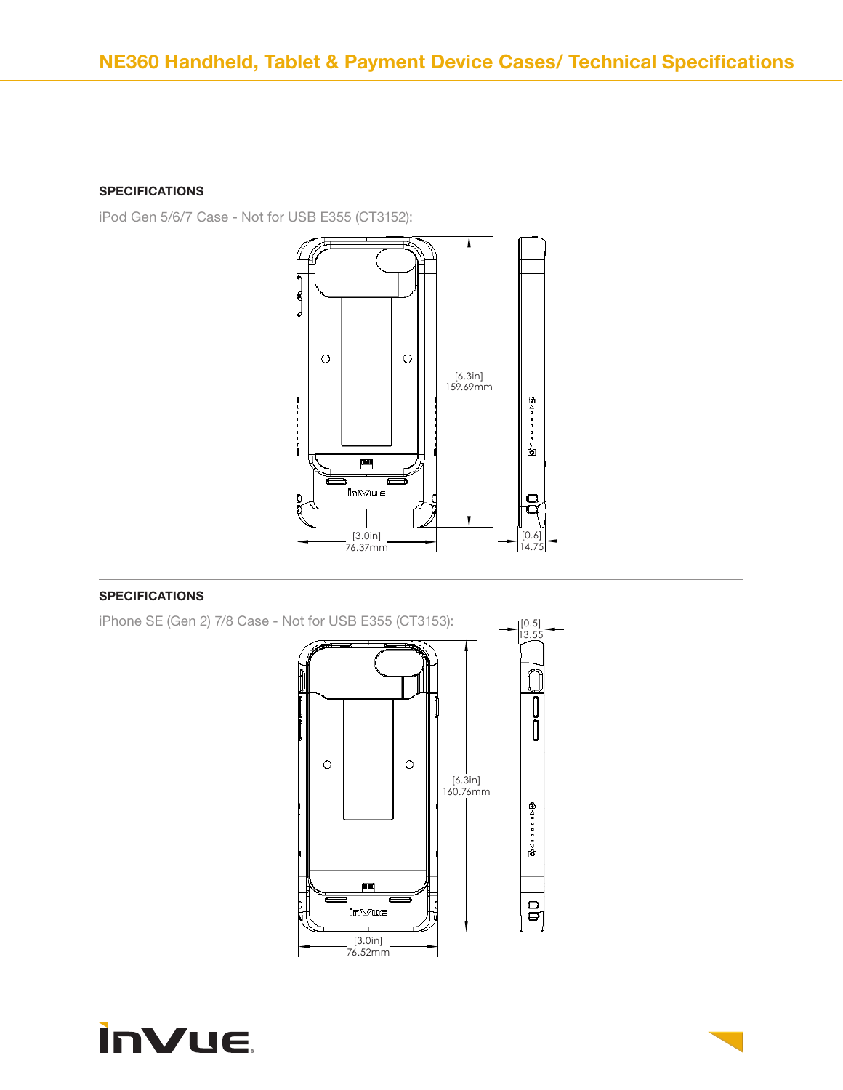iPod Gen 5/6/7 Case - Not for USB E355 (CT3152):





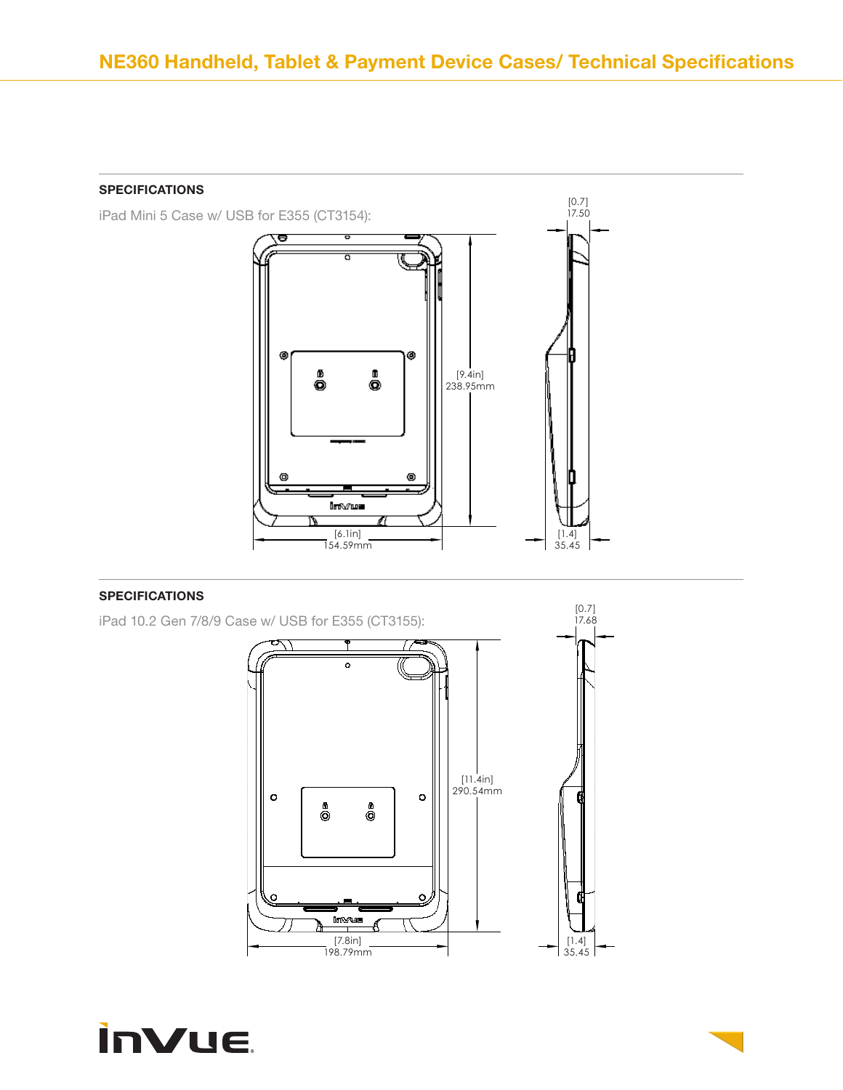



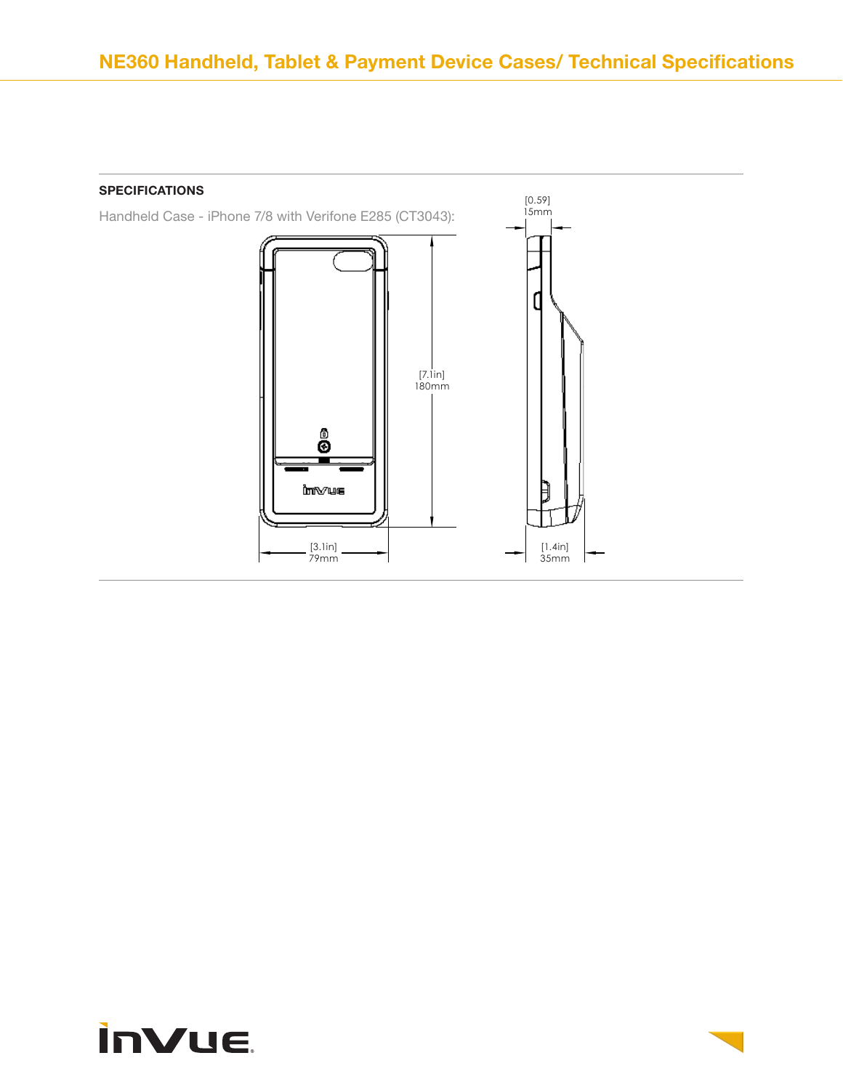

# **inVue**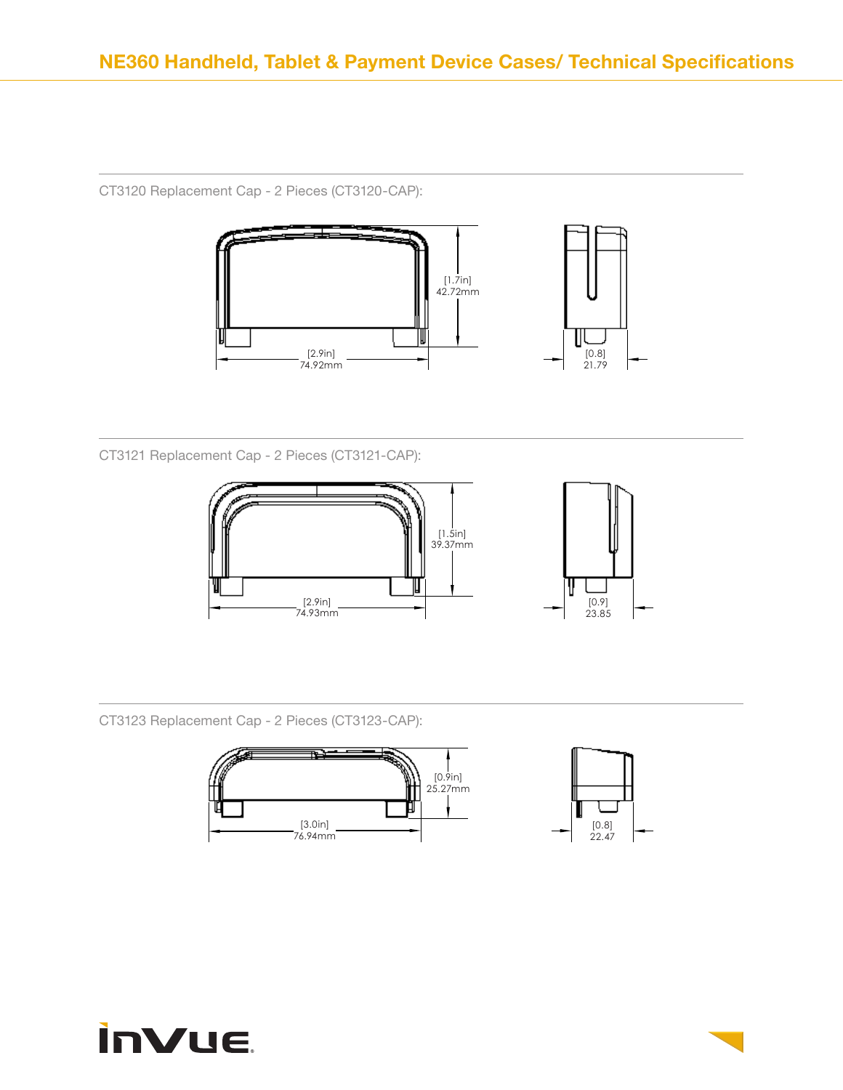CT3120 Replacement Cap - 2 Pieces (CT3120-CAP):



CT3121 Replacement Cap - 2 Pieces (CT3121-CAP):



CT3123 Replacement Cap - 2 Pieces (CT3123-CAP):



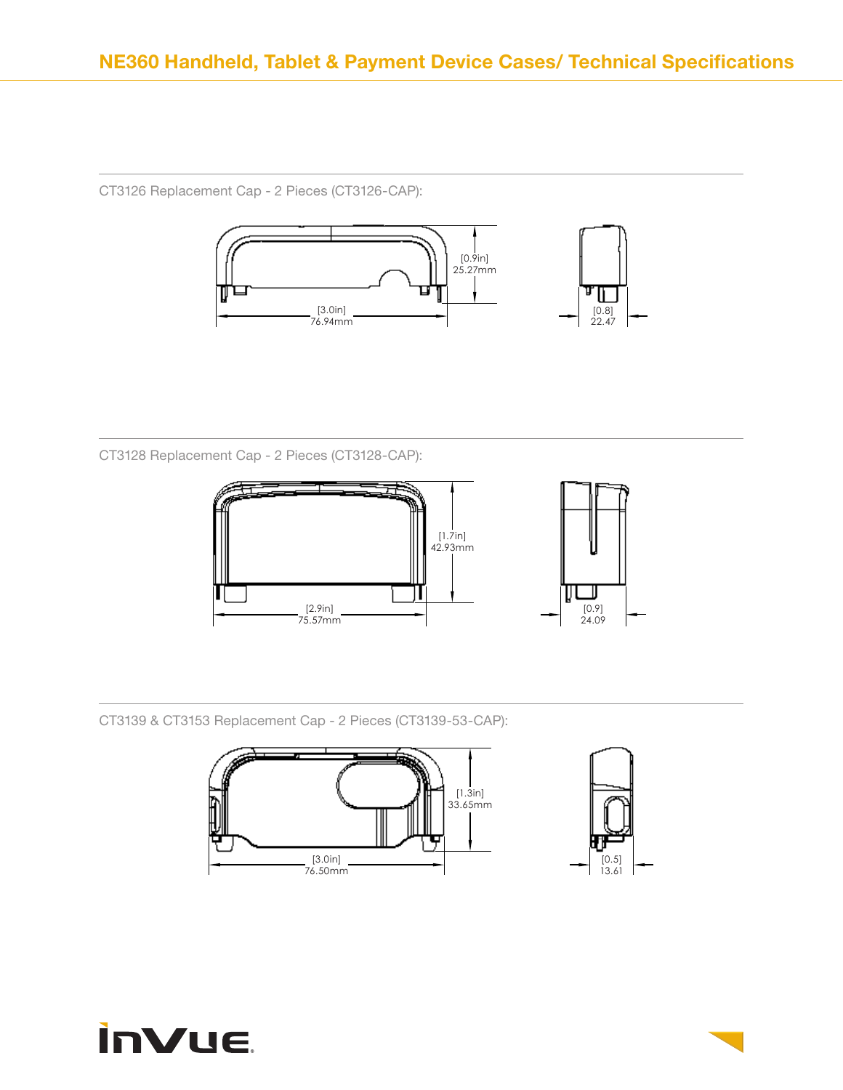CT3126 Replacement Cap - 2 Pieces (CT3126-CAP):



CT3128 Replacement Cap - 2 Pieces (CT3128-CAP):



CT3139 & CT3153 Replacement Cap - 2 Pieces (CT3139-53-CAP):





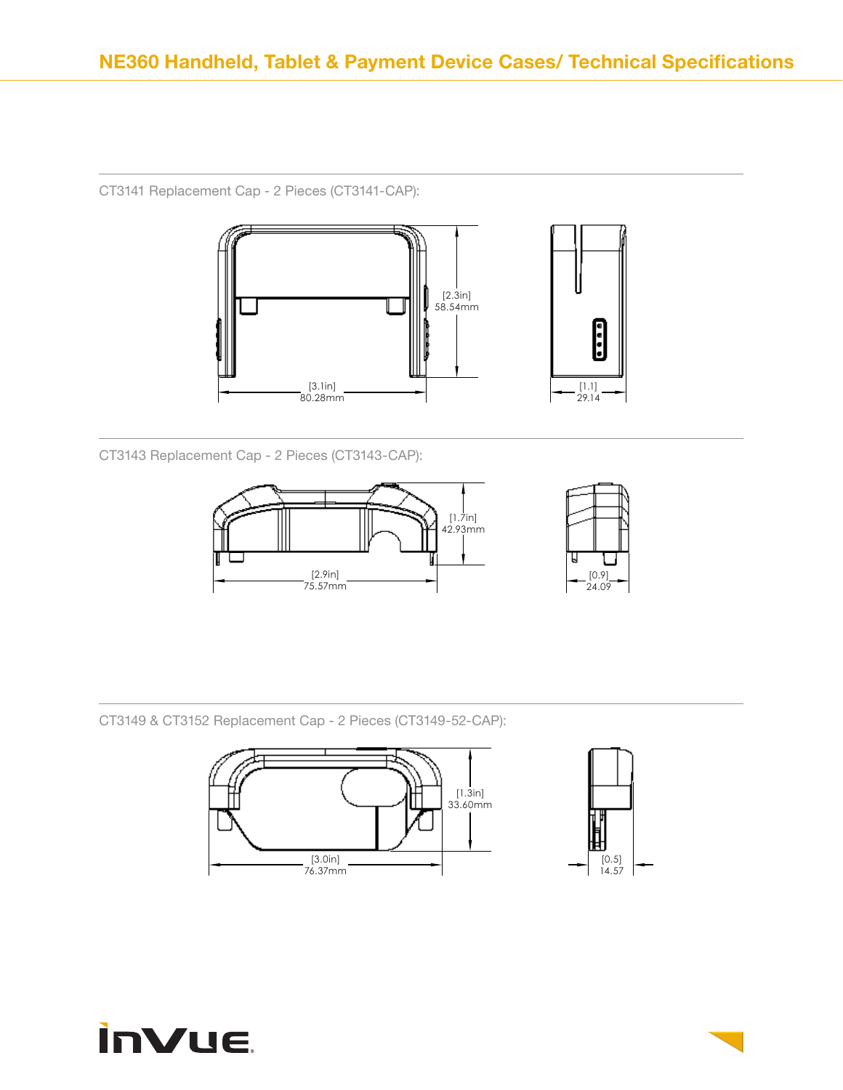CT3141 Replacement Cap - 2 Pieces (CT3141-CAP):



CT3143 Replacement Cap - 2 Pieces (CT3143-CAP):



CT3149 & CT3152 Replacement Cap - 2 Pieces (CT3149-52-CAP):





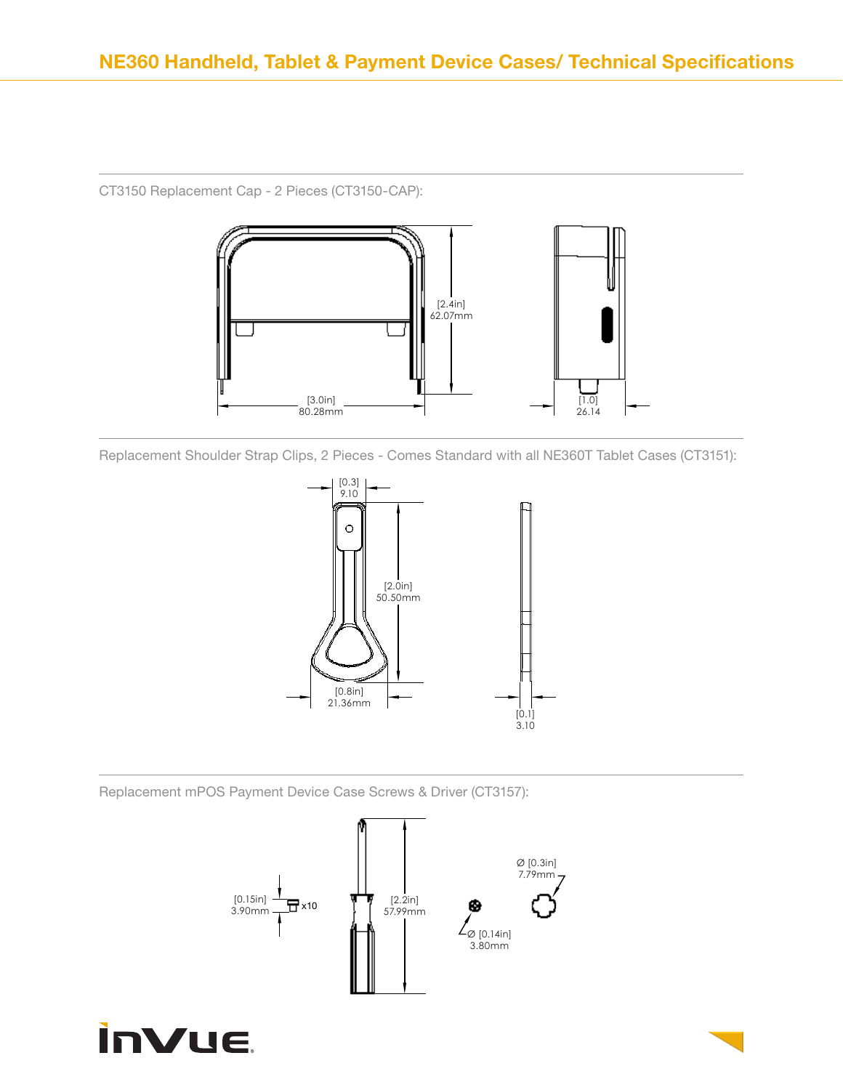

CT3150 Replacement Cap - 2 Pieces (CT3150-CAP):

Replacement Shoulder Strap Clips, 2 Pieces - Comes Standard with all NE360T Tablet Cases (CT3151):



Replacement mPOS Payment Device Case Screws & Driver (CT3157):



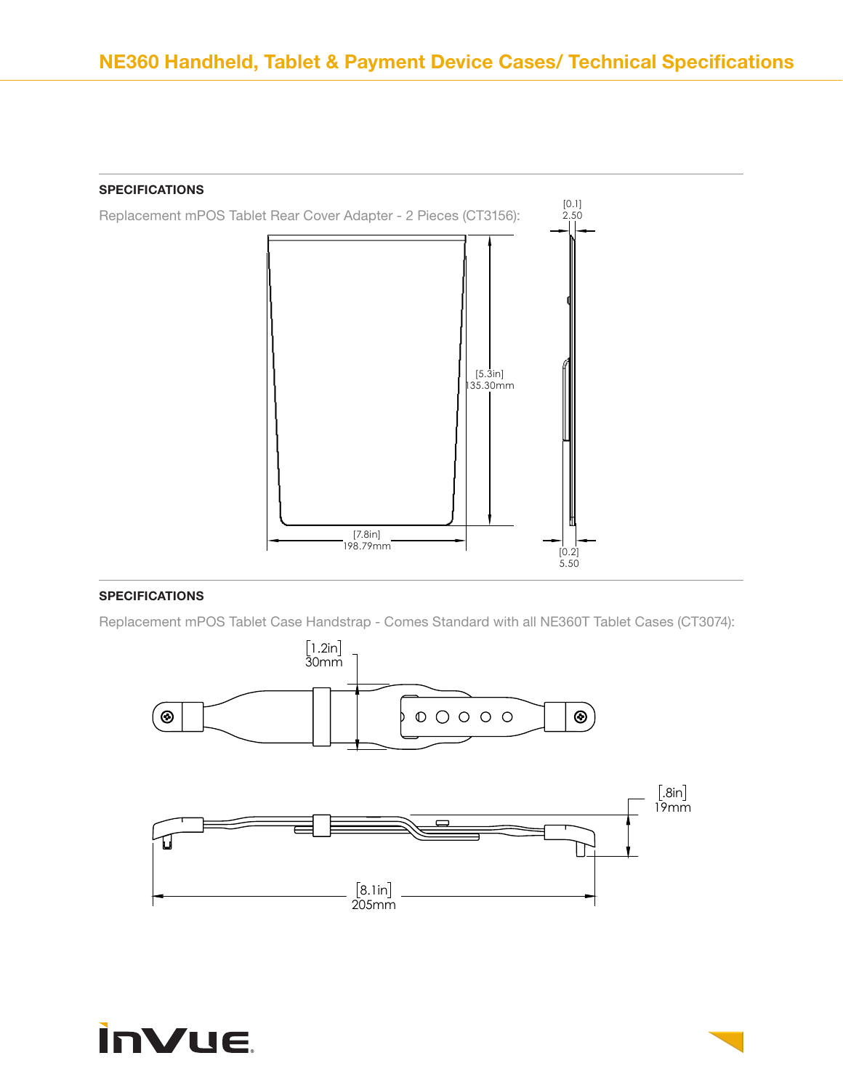

Replacement mPOS Tablet Case Handstrap - Comes Standard with all NE360T Tablet Cases (CT3074):



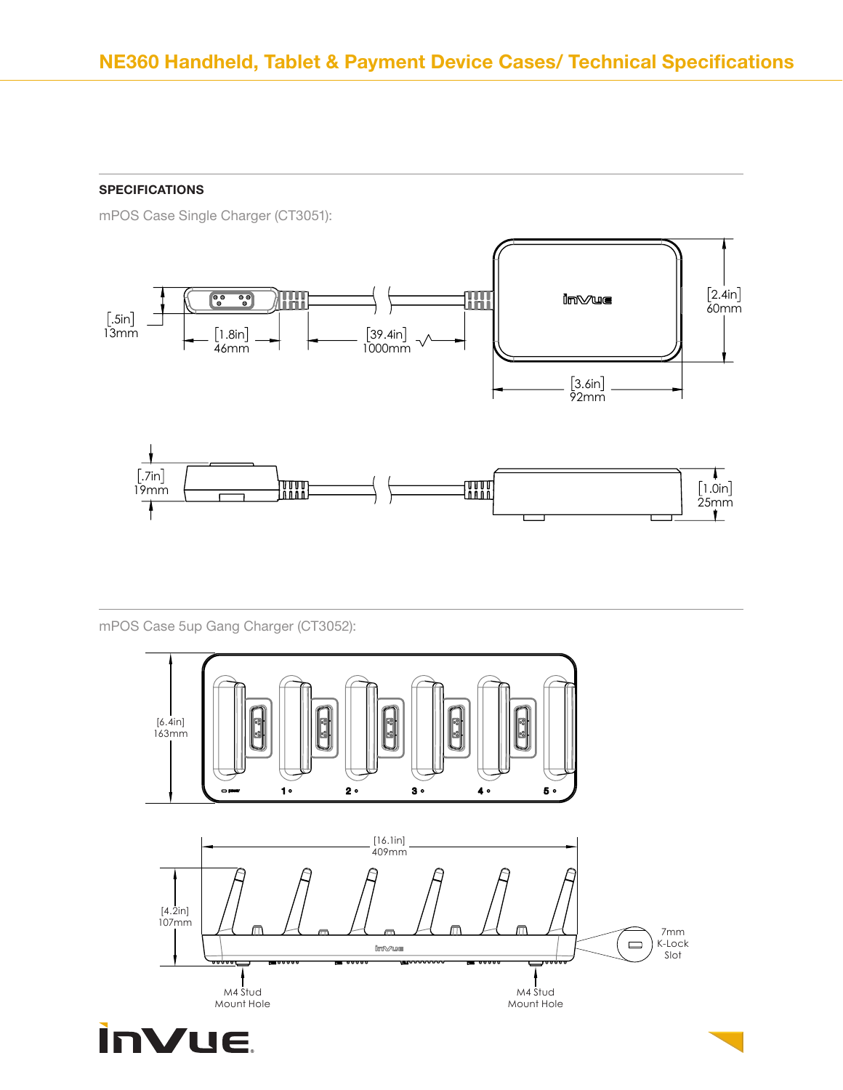mPOS Case Single Charger (CT3051):



mPOS Case 5up Gang Charger (CT3052):

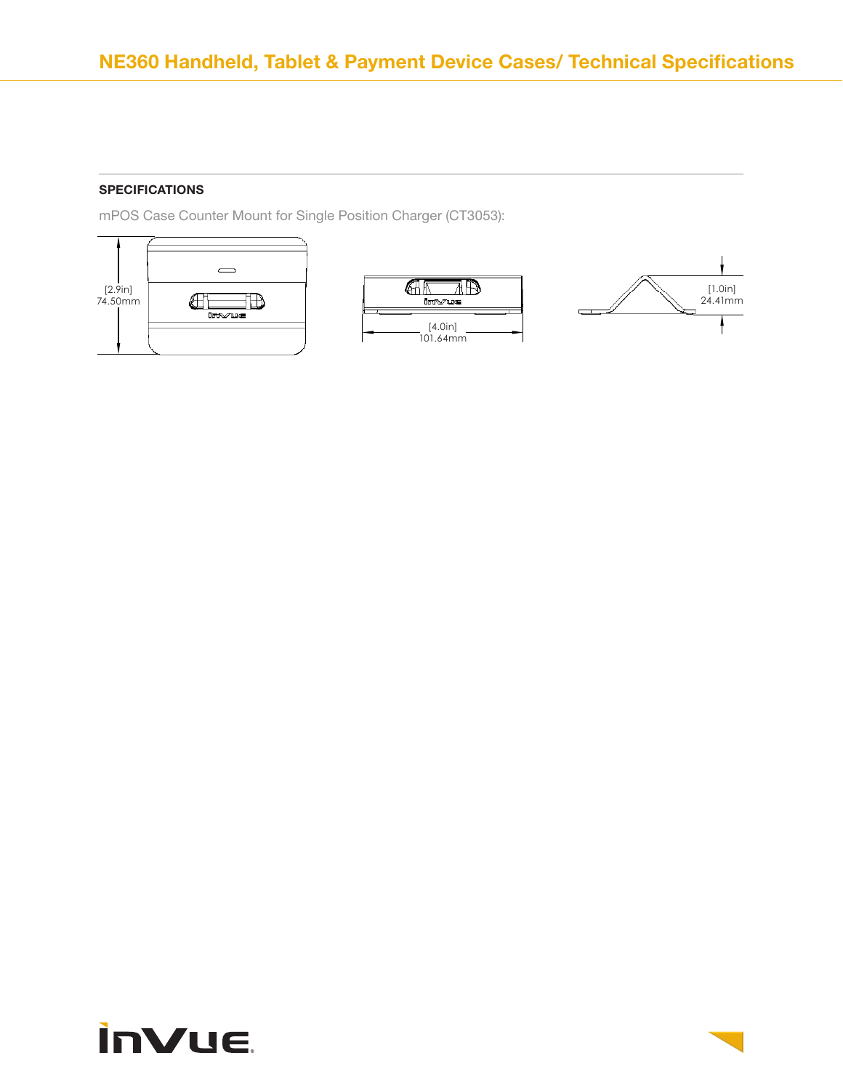mPOS Case Counter Mount for Single Position Charger (CT3053):







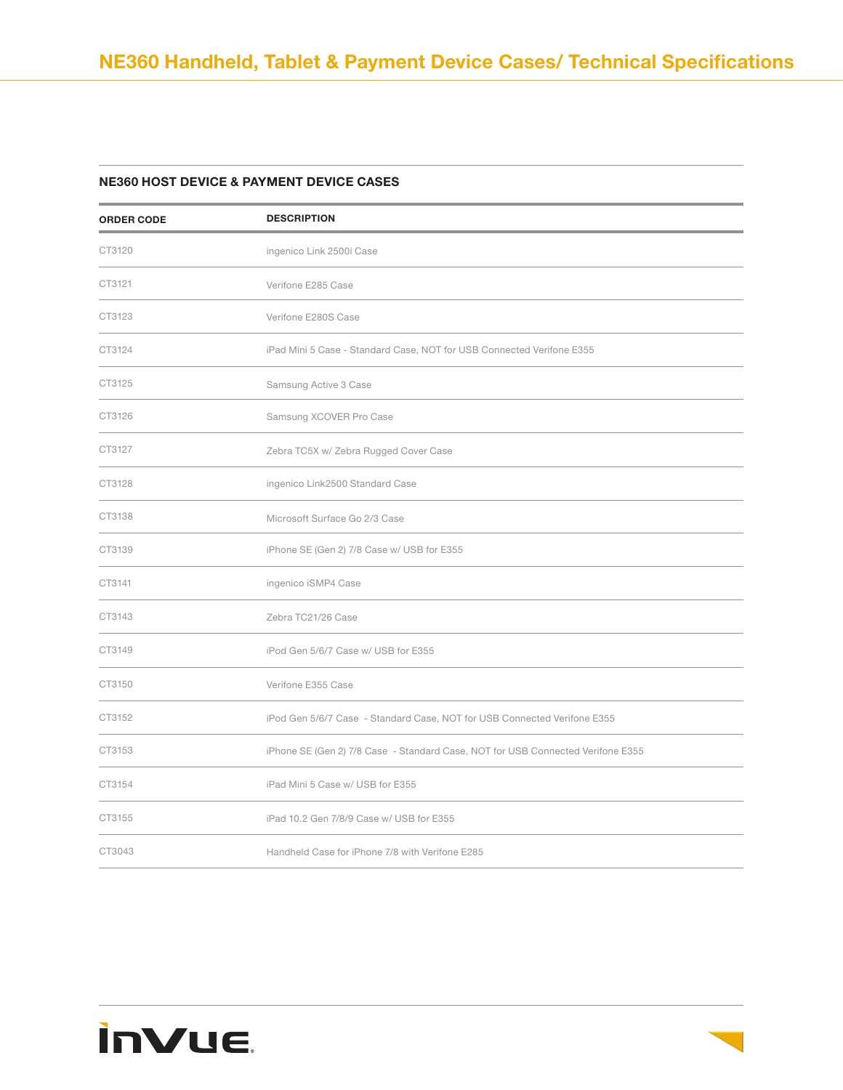#### NE360 HOST DEVICE & PAYMENT DEVICE CASES

**inVue** 

| <b>ORDER CODE</b> | <b>DESCRIPTION</b>                                                              |
|-------------------|---------------------------------------------------------------------------------|
| CT3120            | ingenico Link 2500i Case                                                        |
| CT3121            | Verifone E285 Case                                                              |
| CT3123            | Verifone E280S Case                                                             |
| CT3124            | iPad Mini 5 Case - Standard Case, NOT for USB Connected Verifone E355           |
| CT3125            | Samsung Active 3 Case                                                           |
| CT3126            | Samsung XCOVER Pro Case                                                         |
| CT3127            | Zebra TC5X w/ Zebra Rugged Cover Case                                           |
| CT3128            | ingenico Link2500 Standard Case                                                 |
| CT3138            | Microsoft Surface Go 2/3 Case                                                   |
| CT3139            | iPhone SE (Gen 2) 7/8 Case w/ USB for E355                                      |
| CT3141            | ingenico iSMP4 Case                                                             |
| CT3143            | Zebra TC21/26 Case                                                              |
| CT3149            | iPod Gen 5/6/7 Case w/ USB for E355                                             |
| CT3150            | Verifone E355 Case                                                              |
| CT3152            | iPod Gen 5/6/7 Case - Standard Case, NOT for USB Connected Verifone E355        |
| CT3153            | iPhone SE (Gen 2) 7/8 Case - Standard Case, NOT for USB Connected Verifone E355 |
| CT3154            | iPad Mini 5 Case w/ USB for E355                                                |
| CT3155            | iPad 10.2 Gen 7/8/9 Case w/ USB for E355                                        |
| CT3043            | Handheld Case for iPhone 7/8 with Verifone E285                                 |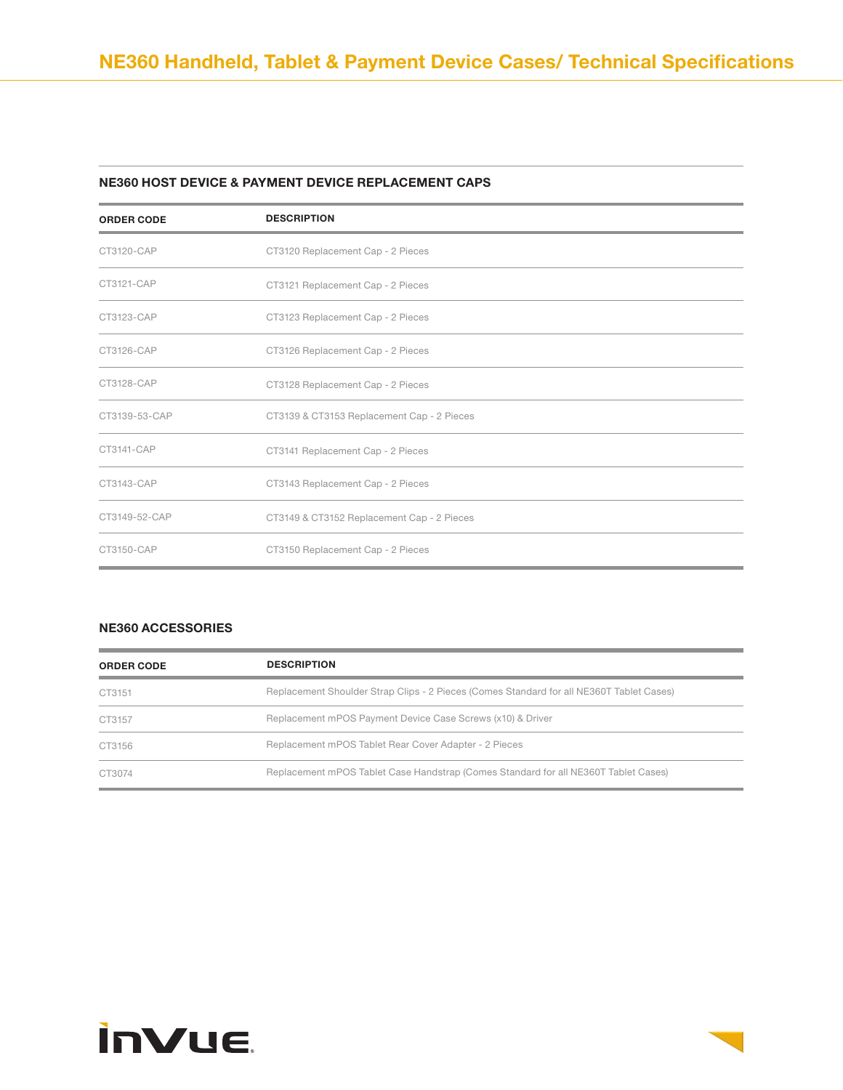#### NE360 HOST DEVICE & PAYMENT DEVICE REPLACEMENT CAPS

| <b>ORDER CODE</b> | <b>DESCRIPTION</b>                         |
|-------------------|--------------------------------------------|
| CT3120-CAP        | CT3120 Replacement Cap - 2 Pieces          |
| CT3121-CAP        | CT3121 Replacement Cap - 2 Pieces          |
| CT3123-CAP        | CT3123 Replacement Cap - 2 Pieces          |
| CT3126-CAP        | CT3126 Replacement Cap - 2 Pieces          |
| CT3128-CAP        | CT3128 Replacement Cap - 2 Pieces          |
| CT3139-53-CAP     | CT3139 & CT3153 Replacement Cap - 2 Pieces |
| CT3141-CAP        | CT3141 Replacement Cap - 2 Pieces          |
| CT3143-CAP        | CT3143 Replacement Cap - 2 Pieces          |
| CT3149-52-CAP     | CT3149 & CT3152 Replacement Cap - 2 Pieces |
| CT3150-CAP        | CT3150 Replacement Cap - 2 Pieces          |

#### NE360 ACCESSORIES

| <b>ORDER CODE</b> | <b>DESCRIPTION</b>                                                                       |
|-------------------|------------------------------------------------------------------------------------------|
| CT3151            | Replacement Shoulder Strap Clips - 2 Pieces (Comes Standard for all NE360T Tablet Cases) |
| CT3157            | Replacement mPOS Payment Device Case Screws (x10) & Driver                               |
| CT3156            | Replacement mPOS Tablet Rear Cover Adapter - 2 Pieces                                    |
| CT3074            | Replacement mPOS Tablet Case Handstrap (Comes Standard for all NE360T Tablet Cases)      |